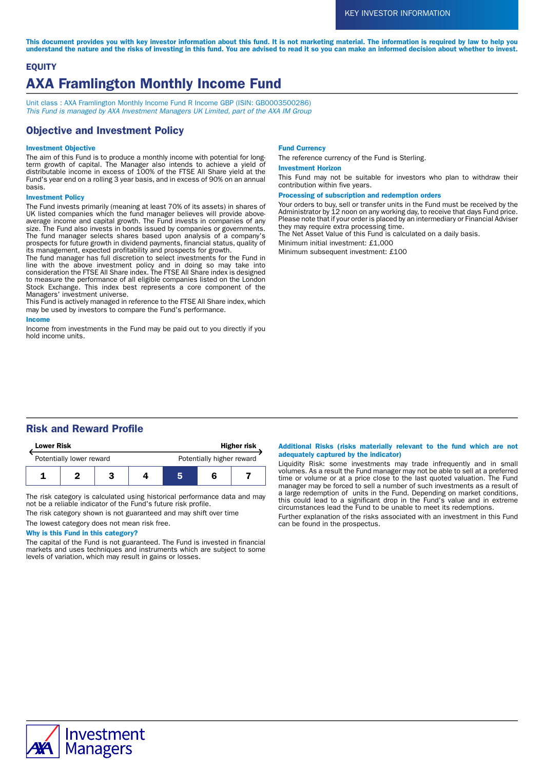This document provides you with key investor information about this fund. It is not marketing material. The information is required by law to help you understand the nature and the risks of investing in this fund. You are advised to read it so you can make an informed decision about whether to invest.

# **EQUITY** AXA Framlington Monthly Income Fund

Unit class : AXA Framlington Monthly Income Fund R Income GBP (ISIN: GB0003500286) This Fund is managed by AXA Investment Managers UK Limited, part of the AXA IM Group

## Objective and Investment Policy

### Investment Objective

The aim of this Fund is to produce a monthly income with potential for longterm growth of capital. The Manager also intends to achieve a yield of distributable income in excess of 100% of the FTSE All Share yield at the Fund's year end on a rolling 3 year basis, and in excess of 90% on an annual basis.

### Investment Policy

The Fund invests primarily (meaning at least 70% of its assets) in shares of UK listed companies which the fund manager believes will provide aboveaverage income and capital growth. The Fund invests in companies of any size. The Fund also invests in bonds issued by companies or governments. The fund manager selects shares based upon analysis of a company's prospects for future growth in dividend payments, financial status, quality of its management, expected profitability and prospects for growth.

The fund manager has full discretion to select investments for the Fund in line with the above investment policy and in doing so may take into consideration the FTSE All Share index. The FTSE All Share index is designed to measure the performance of all eligible companies listed on the London Stock Exchange. This index best represents a core component of the Managers' investment universe.

This Fund is actively managed in reference to the FTSE All Share index, which may be used by investors to compare the Fund's performance.

#### Income

Income from investments in the Fund may be paid out to you directly if you hold income units.

#### Fund Currency

The reference currency of the Fund is Sterling.

#### Investment Horizon

This Fund may not be suitable for investors who plan to withdraw their contribution within five years.

#### Processing of subscription and redemption orders

Your orders to buy, sell or transfer units in the Fund must be received by the Administrator by 12 noon on any working day, to receive that days Fund price. Please note that if your order is placed by an intermediary or Financial Adviser they may require extra processing time.

The Net Asset Value of this Fund is calculated on a daily basis.

Minimum initial investment: £1,000

Minimum subsequent investment: £100

## Risk and Reward Profile

| <b>Lower Risk</b>        |  |  | <b>Higher risk</b> |                           |  |  |
|--------------------------|--|--|--------------------|---------------------------|--|--|
| Potentially lower reward |  |  |                    | Potentially higher reward |  |  |
|                          |  |  |                    |                           |  |  |

The risk category is calculated using historical performance data and may not be a reliable indicator of the Fund's future risk profile.

The risk category shown is not guaranteed and may shift over time

### The lowest category does not mean risk free.

### Why is this Fund in this category?

The capital of the Fund is not guaranteed. The Fund is invested in financial markets and uses techniques and instruments which are subject to some levels of variation, which may result in gains or losses.

### Additional Risks (risks materially relevant to the fund which are not adequately captured by the indicator)

Liquidity Risk: some investments may trade infrequently and in small volumes. As a result the Fund manager may not be able to sell at a preferred time or volume or at a price close to the last quoted valuation. The Fund manager may be forced to sell a number of such investments as a result of a large redemption of units in the Fund. Depending on market conditions, this could lead to a significant drop in the Fund's value and in extreme circumstances lead the Fund to be unable to meet its redemptions.

Further explanation of the risks associated with an investment in this Fund can be found in the prospectus.